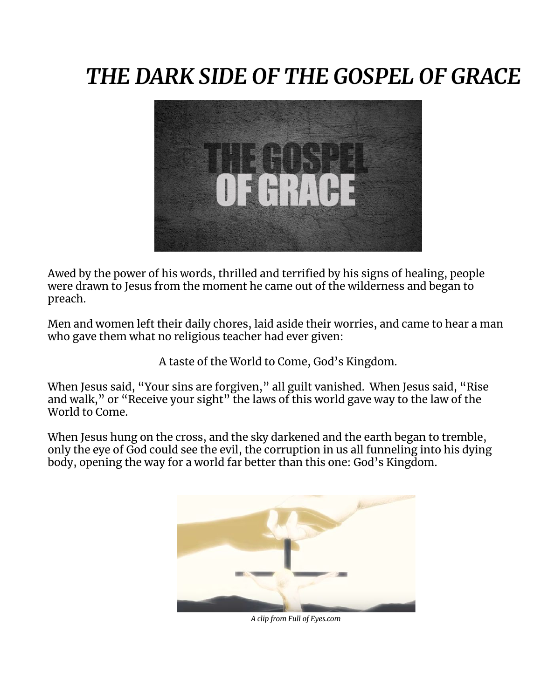# *THE DARK SIDE OF THE GOSPEL OF GRACE*



Awed by the power of his words, thrilled and terrified by his signs of healing, people were drawn to Jesus from the moment he came out of the wilderness and began to preach.

Men and women left their daily chores, laid aside their worries, and came to hear a man who gave them what no religious teacher had ever given:

A taste of the World to Come, God's Kingdom.

When Jesus said, "Your sins are forgiven," all guilt vanished. When Jesus said, "Rise and walk," or "Receive your sight" the laws of this world gave way to the law of the World to Come.

When Jesus hung on the cross, and the sky darkened and the earth began to tremble, only the eye of God could see the evil, the corruption in us all funneling into his dying body, opening the way for a world far better than this one: God's Kingdom.



*A clip from Full of Eyes.com*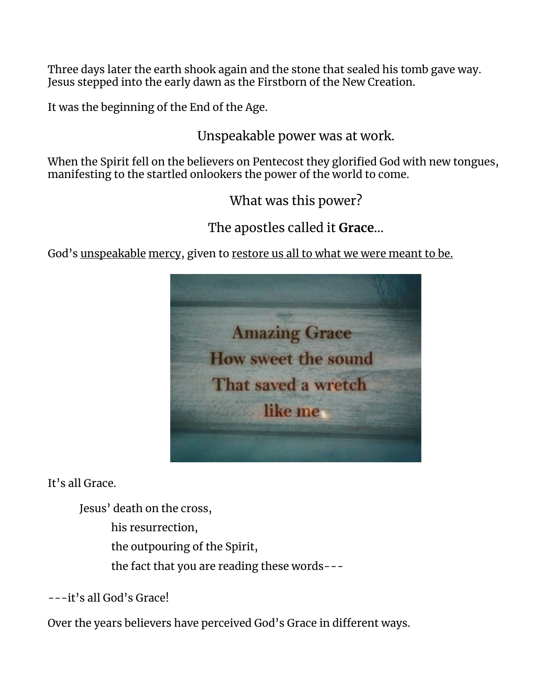Three days later the earth shook again and the stone that sealed his tomb gave way. Jesus stepped into the early dawn as the Firstborn of the New Creation.

It was the beginning of the End of the Age.

Unspeakable power was at work.

When the Spirit fell on the believers on Pentecost they glorified God with new tongues, manifesting to the startled onlookers the power of the world to come.

What was this power?

The apostles called it **Grace**...

God's unspeakable mercy, given to restore us all to what we were meant to be.



It's all Grace.

Jesus' death on the cross,

his resurrection,

the outpouring of the Spirit,

the fact that you are reading these words---

---it's all God's Grace!

Over the years believers have perceived God's Grace in different ways.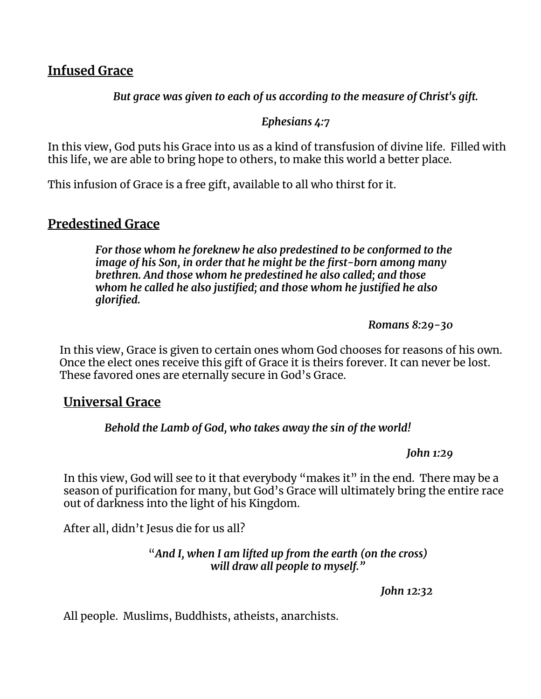## **Infused Grace**

*But grace was given to each of us according to the measure of Christ's gift.*

#### *Ephesians 4:7*

In this view, God puts his Grace into us as a kind of transfusion of divine life. Filled with this life, we are able to bring hope to others, to make this world a better place.

This infusion of Grace is a free gift, available to all who thirst for it.

# **Predestined Grace**

*For those whom he foreknew he also predestined to be conformed to the image of his Son, in order that he might be the first-born among many brethren. And those whom he predestined he also called; and those whom he called he also justified; and those whom he justified he also glorified.*

*Romans 8:29-30*

In this view, Grace is given to certain ones whom God chooses for reasons of his own. Once the elect ones receive this gift of Grace it is theirs forever. It can never be lost. These favored ones are eternally secure in God's Grace.

# **Universal Grace**

### *Behold the Lamb of God, who takes away the sin of the world!*

*John 1:29*

In this view, God will see to it that everybody "makes it" in the end. There may be a season of purification for many, but God's Grace will ultimately bring the entire race out of darkness into the light of his Kingdom.

After all, didn't Jesus die for us all?

"*And I, when I am lifted up from the earth (on the cross) will draw all people to myself."*

*John 12:32*

All people. Muslims, Buddhists, atheists, anarchists.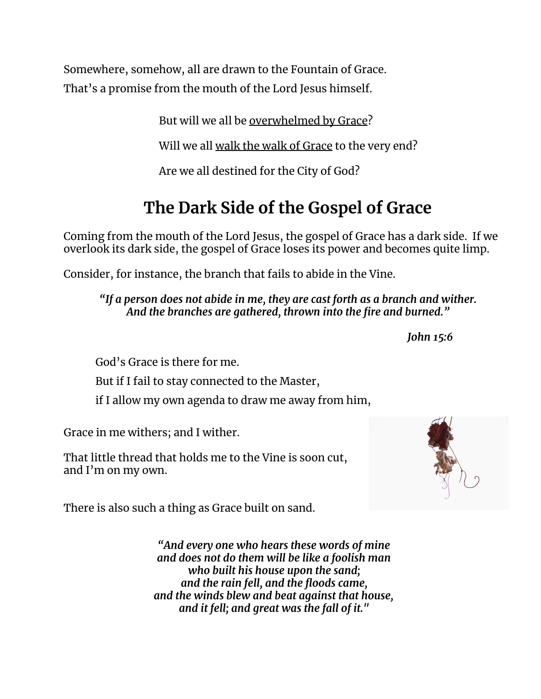Somewhere, somehow, all are drawn to the Fountain of Grace. That's a promise from the mouth of the Lord Jesus himself.

But will we all be overwhelmed by Grace?

Will we all walk the walk of Grace to the very end?

Are we all destined for the City of God?

# **The Dark Side of the Gospel of Grace**

Coming from the mouth of the Lord Jesus, the gospel of Grace has a dark side. If we overlook its dark side, the gospel of Grace loses its power and becomes quite limp.

Consider, for instance, the branch that fails to abide in the Vine.

*"If a person does not abide in me, they are cast forth as a branch and wither. And the branches are gathered, thrown into the fire and burned."*

*John 15:6*

God's Grace is there for me.

But if I fail to stay connected to the Master,

if I allow my own agenda to draw me away from him,

Grace in me withers; and I wither.

That little thread that holds me to the Vine is soon cut, and I'm on my own.

There is also such a thing as Grace built on sand.

*"And every one who hears these words of mine and does not do them will be like a foolish man who built his house upon the sand; and the rain fell, and the floods came, and the winds blew and beat against that house, and it fell; and great was the fall of it."*

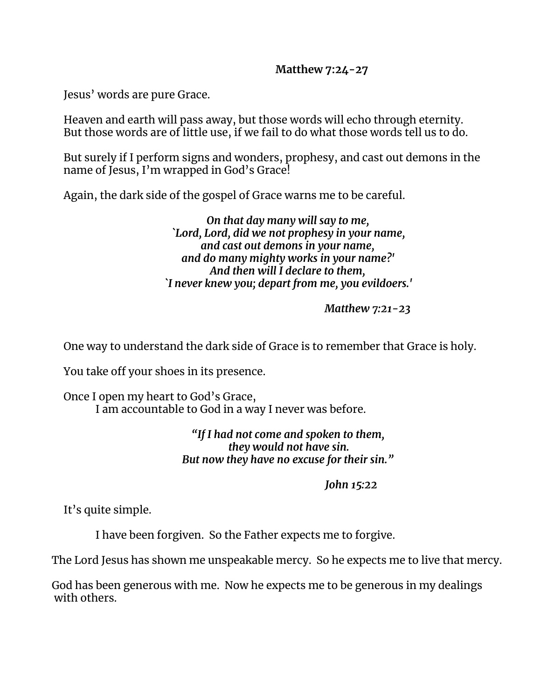#### **Matthew 7:24-27**

Jesus' words are pure Grace.

Heaven and earth will pass away, but those words will echo through eternity. But those words are of little use, if we fail to do what those words tell us to do.

But surely if I perform signs and wonders, prophesy, and cast out demons in the name of Jesus, I'm wrapped in God's Grace!

Again, the dark side of the gospel of Grace warns me to be careful.

*On that day many will say to me, `Lord, Lord, did we not prophesy in your name, and cast out demons in your name, and do many mighty works in your name?' And then will I declare to them, `I never knew you; depart from me, you evildoers.'*

*Matthew 7:21-23*

One way to understand the dark side of Grace is to remember that Grace is holy.

You take off your shoes in its presence.

Once I open my heart to God's Grace, I am accountable to God in a way I never was before.

> *"If I had not come and spoken to them, they would not have sin. But now they have no excuse for their sin."*

> > *John 15:22*

It's quite simple.

I have been forgiven. So the Father expects me to forgive.

The Lord Jesus has shown me unspeakable mercy. So he expects me to live that mercy.

God has been generous with me. Now he expects me to be generous in my dealings with others.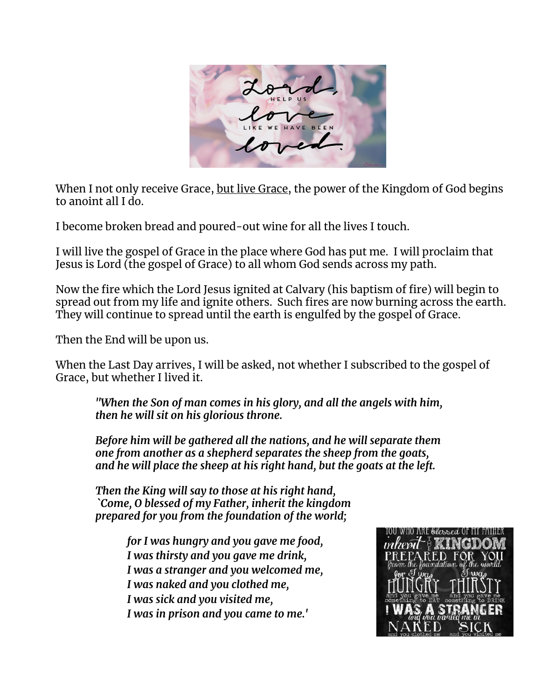

When I not only receive Grace, but live Grace, the power of the Kingdom of God begins to anoint all I do.

I become broken bread and poured-out wine for all the lives I touch.

I will live the gospel of Grace in the place where God has put me. I will proclaim that Jesus is Lord (the gospel of Grace) to all whom God sends across my path.

Now the fire which the Lord Jesus ignited at Calvary (his baptism of fire) will begin to spread out from my life and ignite others. Such fires are now burning across the earth. They will continue to spread until the earth is engulfed by the gospel of Grace.

Then the End will be upon us.

When the Last Day arrives, I will be asked, not whether I subscribed to the gospel of Grace, but whether I lived it.

*"When the Son of man comes in his glory, and all the angels with him, then he will sit on his glorious throne.*

*Before him will be gathered all the nations, and he will separate them one from another as a shepherd separates the sheep from the goats, and he will place the sheep at his right hand, but the goats at the left.*

*Then the King will say to those at his right hand, `Come, O blessed of my Father, inherit the kingdom prepared for you from the foundation of the world;*

> *for I was hungry and you gave me food, I was thirsty and you gave me drink, I was a stranger and you welcomed me, I was naked and you clothed me, I was sick and you visited me, I was in prison and you came to me.'*